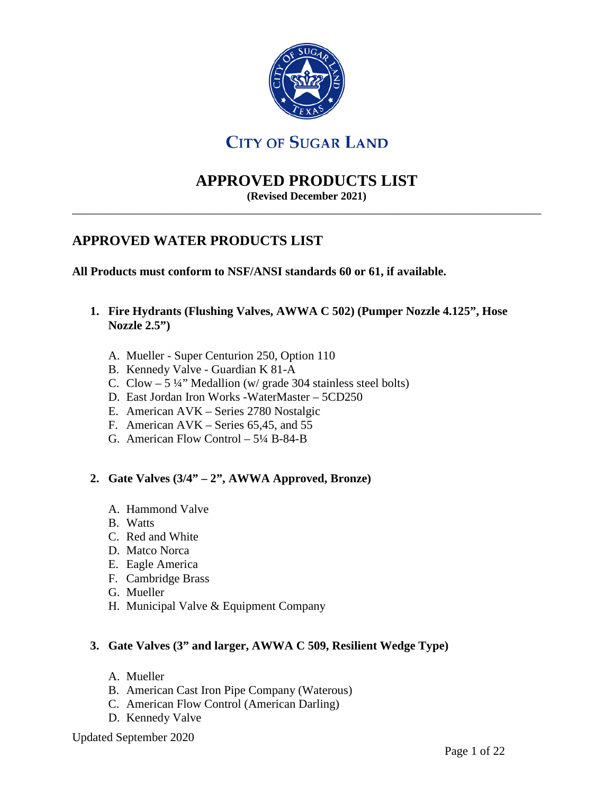

# **CITY OF SUGAR LAND**

# **APPROVED PRODUCTS LIST**

**(Revised December 2021)** \_\_\_\_\_\_\_\_\_\_\_\_\_\_\_\_\_\_\_\_\_\_\_\_\_\_\_\_\_\_\_\_\_\_\_\_\_\_\_\_\_\_\_\_\_\_\_\_\_\_\_\_\_\_\_\_\_\_\_\_\_\_\_\_\_\_\_\_\_\_\_\_\_\_\_\_\_\_

# **APPROVED WATER PRODUCTS LIST**

**All Products must conform to NSF/ANSI standards 60 or 61, if available.**

- **1. Fire Hydrants (Flushing Valves, AWWA C 502) (Pumper Nozzle 4.125", Hose Nozzle 2.5")**
	- A. Mueller Super Centurion 250, Option 110
	- B. Kennedy Valve Guardian K 81-A
	- C. Clow 5 ¼" Medallion (w/ grade 304 stainless steel bolts)
	- D. East Jordan Iron Works -WaterMaster 5CD250
	- E. American AVK Series 2780 Nostalgic
	- F. American AVK Series 65,45, and 55
	- G. American Flow Control 5¼ B-84-B

#### **2. Gate Valves (3/4" – 2", AWWA Approved, Bronze)**

- A. Hammond Valve
- B. Watts
- C. Red and White
- D. Matco Norca
- E. Eagle America
- F. Cambridge Brass
- G. Mueller
- H. Municipal Valve & Equipment Company

#### **3. Gate Valves (3" and larger, AWWA C 509, Resilient Wedge Type)**

- A. Mueller
- B. American Cast Iron Pipe Company (Waterous)
- C. American Flow Control (American Darling)
- D. Kennedy Valve

Updated September 2020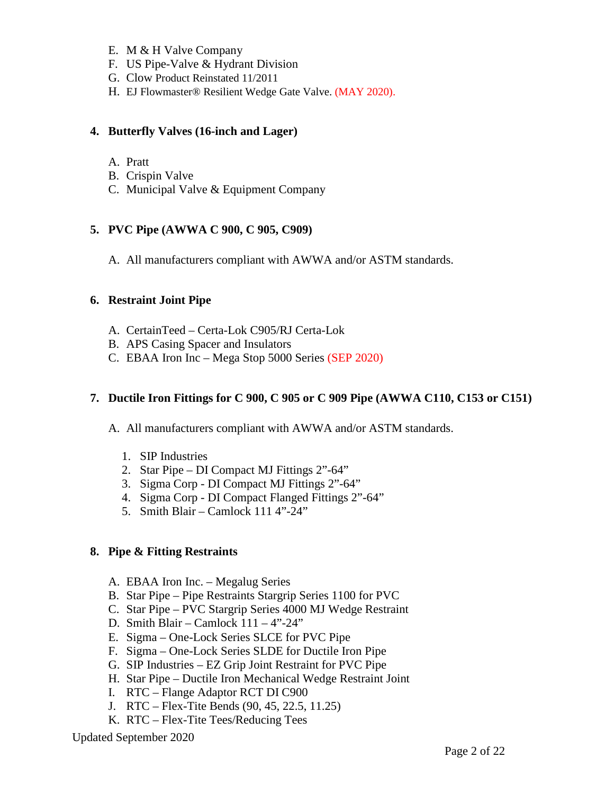- E. M & H Valve Company
- F. US Pipe-Valve & Hydrant Division
- G. Clow Product Reinstated 11/2011
- H. EJ Flowmaster® Resilient Wedge Gate Valve. (MAY 2020).

#### **4. Butterfly Valves (16-inch and Lager)**

- A. Pratt
- B. Crispin Valve
- C. Municipal Valve & Equipment Company

#### **5. PVC Pipe (AWWA C 900, C 905, C909)**

A. All manufacturers compliant with AWWA and/or ASTM standards.

#### **6. Restraint Joint Pipe**

- A. CertainTeed Certa-Lok C905/RJ Certa-Lok
- B. APS Casing Spacer and Insulators
- C. EBAA Iron Inc Mega Stop 5000 Series (SEP 2020)

#### **7. Ductile Iron Fittings for C 900, C 905 or C 909 Pipe (AWWA C110, C153 or C151)**

- A. All manufacturers compliant with AWWA and/or ASTM standards.
	- 1. SIP Industries
	- 2. Star Pipe DI Compact MJ Fittings 2"-64"
	- 3. Sigma Corp DI Compact MJ Fittings 2"-64"
	- 4. Sigma Corp DI Compact Flanged Fittings 2"-64"
	- 5. Smith Blair Camlock 111 4"-24"

#### **8. Pipe & Fitting Restraints**

- A. EBAA Iron Inc. Megalug Series
- B. Star Pipe Pipe Restraints Stargrip Series 1100 for PVC
- C. Star Pipe PVC Stargrip Series 4000 MJ Wedge Restraint
- D. Smith Blair Camlock 111 4"-24"
- E. Sigma One-Lock Series SLCE for PVC Pipe
- F. Sigma One-Lock Series SLDE for Ductile Iron Pipe
- G. SIP Industries EZ Grip Joint Restraint for PVC Pipe
- H. Star Pipe Ductile Iron Mechanical Wedge Restraint Joint
- I. RTC Flange Adaptor RCT DI C900
- J. RTC Flex-Tite Bends (90, 45, 22.5, 11.25)
- K. RTC Flex-Tite Tees/Reducing Tees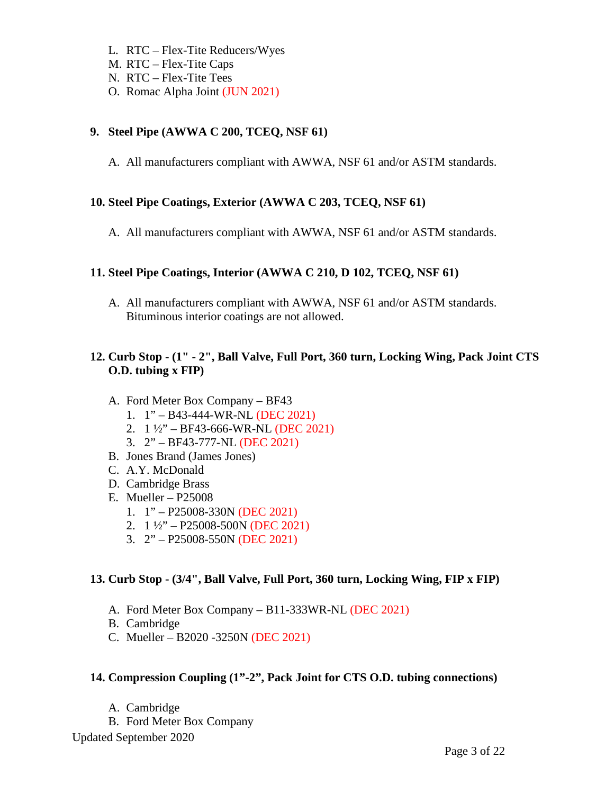- L. RTC Flex-Tite Reducers/Wyes
- M. RTC Flex-Tite Caps
- N. RTC Flex-Tite Tees
- O. Romac Alpha Joint (JUN 2021)

# **9. Steel Pipe (AWWA C 200, TCEQ, NSF 61)**

A. All manufacturers compliant with AWWA, NSF 61 and/or ASTM standards.

# **10. Steel Pipe Coatings, Exterior (AWWA C 203, TCEQ, NSF 61)**

A. All manufacturers compliant with AWWA, NSF 61 and/or ASTM standards.

# **11. Steel Pipe Coatings, Interior (AWWA C 210, D 102, TCEQ, NSF 61)**

A. All manufacturers compliant with AWWA, NSF 61 and/or ASTM standards. Bituminous interior coatings are not allowed.

# **12. Curb Stop - (1" - 2", Ball Valve, Full Port, 360 turn, Locking Wing, Pack Joint CTS O.D. tubing x FIP)**

- A. Ford Meter Box Company BF43
	- 1. 1" B43-444-WR-NL (DEC 2021)
	- 2. 1 ½" BF43-666-WR-NL (DEC 2021)
	- 3. 2" BF43-777-NL (DEC 2021)
- B. Jones Brand (James Jones)
- C. A.Y. McDonald
- D. Cambridge Brass
- E. Mueller P25008
	- 1. 1" P25008-330N (DEC 2021)
	- 2.  $1\frac{1}{2}$  P25008-500N (DEC 2021)
	- 3. 2" P25008-550N (DEC 2021)

# **13. Curb Stop - (3/4", Ball Valve, Full Port, 360 turn, Locking Wing, FIP x FIP)**

- A. Ford Meter Box Company B11-333WR-NL (DEC 2021)
- B. Cambridge
- C. Mueller B2020 -3250N (DEC 2021)

# **14. Compression Coupling (1"-2", Pack Joint for CTS O.D. tubing connections)**

- A. Cambridge
- B. Ford Meter Box Company

Updated September 2020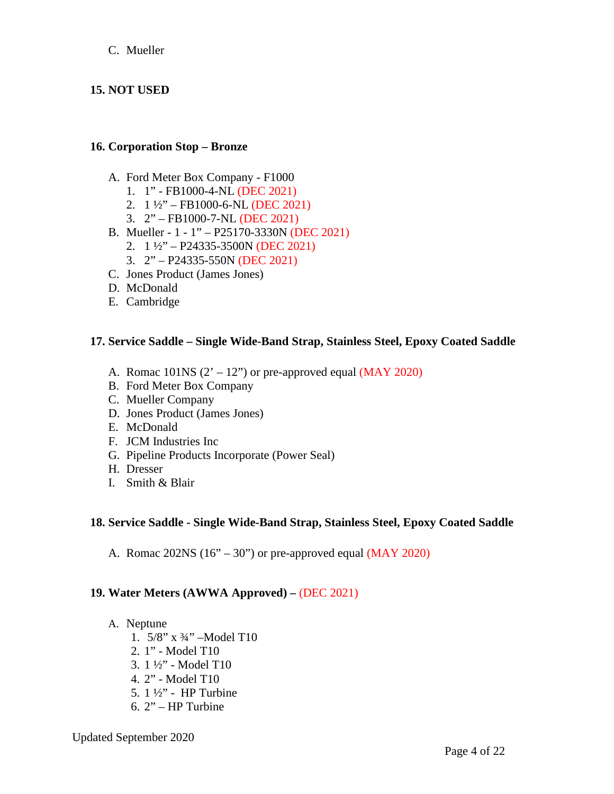#### C. Mueller

## **15. NOT USED**

#### **16. Corporation Stop – Bronze**

- A. Ford Meter Box Company F1000
	- 1. 1" FB1000-4-NL (DEC 2021)
	- 2. 1 ½" FB1000-6-NL (DEC 2021)
	- 3. 2" FB1000-7-NL (DEC 2021)
- B. Mueller 1 1" P25170-3330N (DEC 2021)
	- 2.  $1\frac{1}{2}$  P24335-3500N (DEC 2021)
	- 3. 2" P24335-550N (DEC 2021)
- C. Jones Product (James Jones)
- D. McDonald
- E. Cambridge

#### **17. Service Saddle – Single Wide-Band Strap, Stainless Steel, Epoxy Coated Saddle**

- A. Romac  $101NS (2' 12'')$  or pre-approved equal (MAY 2020)
- B. Ford Meter Box Company
- C. Mueller Company
- D. Jones Product (James Jones)
- E. McDonald
- F. JCM Industries Inc
- G. Pipeline Products Incorporate (Power Seal)
- H. Dresser
- I. Smith & Blair

#### **18. Service Saddle - Single Wide-Band Strap, Stainless Steel, Epoxy Coated Saddle**

A. Romac  $202NS (16" – 30")$  or pre-approved equal  $(MAY 2020)$ 

#### **19. Water Meters (AWWA Approved) –** (DEC 2021)

- A. Neptune
	- 1. 5/8" x ¾" –Model T10
	- 2. 1" Model T10
	- 3. 1 ½" Model T10
	- 4. 2" Model T10
	- 5. 1 ½" HP Turbine
	- 6. 2" HP Turbine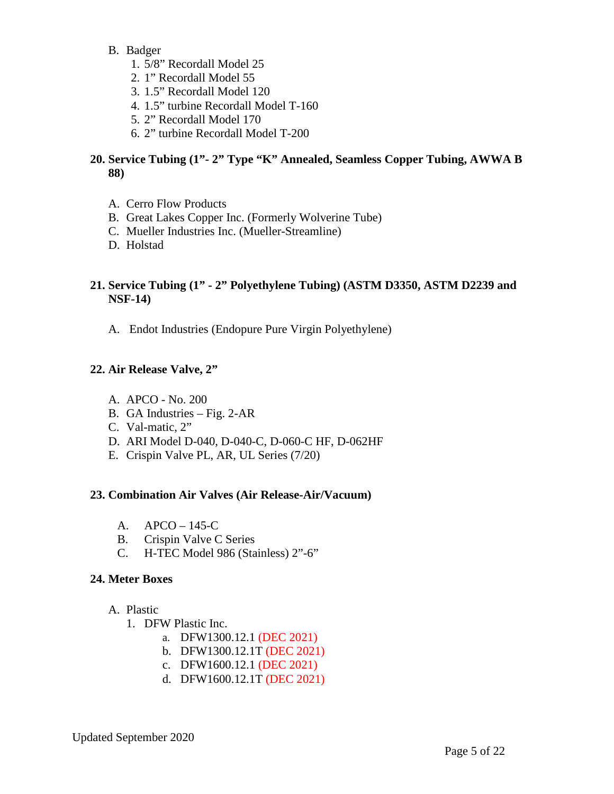- B. Badger
	- 1. 5/8" Recordall Model 25
	- 2. 1" Recordall Model 55
	- 3. 1.5" Recordall Model 120
	- 4. 1.5" turbine Recordall Model T-160
	- 5. 2" Recordall Model 170
	- 6. 2" turbine Recordall Model T-200

### **20. Service Tubing (1"- 2" Type "K" Annealed, Seamless Copper Tubing, AWWA B 88)**

- A. Cerro Flow Products
- B. Great Lakes Copper Inc. (Formerly Wolverine Tube)
- C. Mueller Industries Inc. (Mueller-Streamline)
- D. Holstad

## **21. Service Tubing (1" - 2" Polyethylene Tubing) (ASTM D3350, ASTM D2239 and NSF-14)**

A. Endot Industries (Endopure Pure Virgin Polyethylene)

#### **22. Air Release Valve, 2"**

- A. APCO No. 200
- B. GA Industries Fig. 2-AR
- C. Val-matic, 2"
- D. ARI Model D-040, D-040-C, D-060-C HF, D-062HF
- E. Crispin Valve PL, AR, UL Series (7/20)

#### **23. Combination Air Valves (Air Release-Air/Vacuum)**

- A. APCO 145-C
- B. Crispin Valve C Series
- C. H-TEC Model 986 (Stainless) 2"-6"

#### **24. Meter Boxes**

- A. Plastic
	- 1. DFW Plastic Inc.
		- a. DFW1300.12.1 (DEC 2021)
		- b. DFW1300.12.1T (DEC 2021)
		- c. DFW1600.12.1 (DEC 2021)
		- d. DFW1600.12.1T (DEC 2021)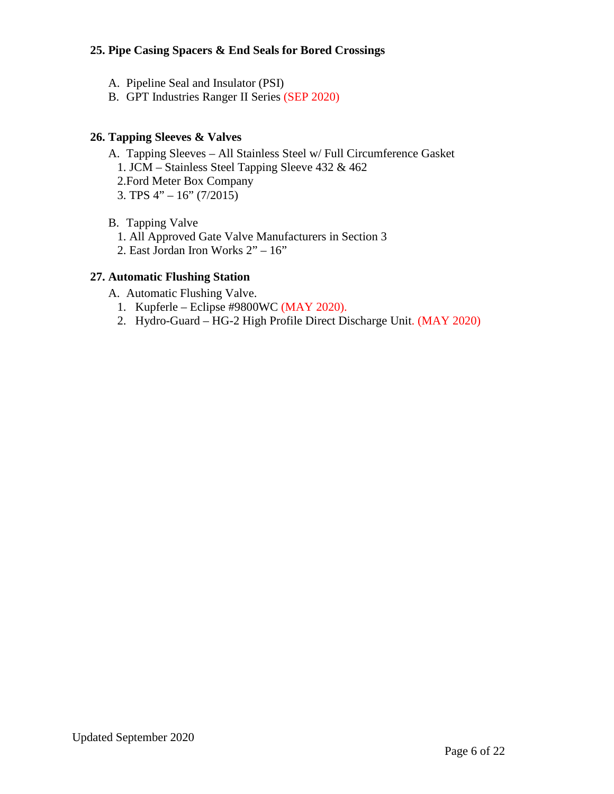## **25. Pipe Casing Spacers & End Seals for Bored Crossings**

- A. Pipeline Seal and Insulator (PSI)
- B. GPT Industries Ranger II Series (SEP 2020)

#### **26. Tapping Sleeves & Valves**

- A. Tapping Sleeves All Stainless Steel w/ Full Circumference Gasket
	- 1. JCM Stainless Steel Tapping Sleeve 432 & 462
	- 2.Ford Meter Box Company
	- 3. TPS 4" 16" (7/2015)
- B. Tapping Valve
	- 1. All Approved Gate Valve Manufacturers in Section 3
	- 2. East Jordan Iron Works 2" 16"

#### **27. Automatic Flushing Station**

- A. Automatic Flushing Valve.
	- 1. Kupferle Eclipse #9800WC (MAY 2020).
	- 2. Hydro-Guard HG-2 High Profile Direct Discharge Unit. (MAY 2020)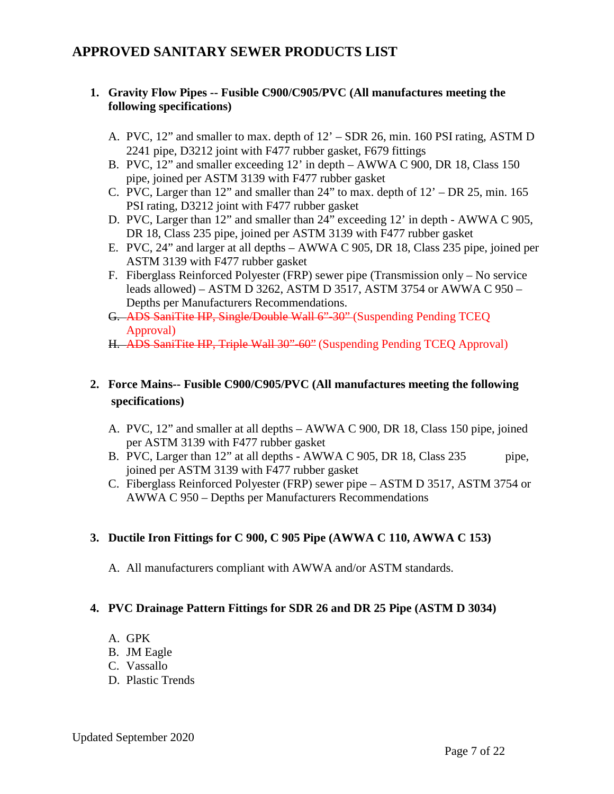# **APPROVED SANITARY SEWER PRODUCTS LIST**

## **1. Gravity Flow Pipes -- Fusible C900/C905/PVC (All manufactures meeting the following specifications)**

- A. PVC, 12" and smaller to max. depth of 12' SDR 26, min. 160 PSI rating, ASTM D 2241 pipe, D3212 joint with F477 rubber gasket, F679 fittings
- B. PVC, 12" and smaller exceeding 12' in depth AWWA C 900, DR 18, Class 150 pipe, joined per ASTM 3139 with F477 rubber gasket
- C. PVC, Larger than 12" and smaller than 24" to max. depth of 12' DR 25, min. 165 PSI rating, D3212 joint with F477 rubber gasket
- D. PVC, Larger than 12" and smaller than 24" exceeding 12' in depth AWWA C 905, DR 18, Class 235 pipe, joined per ASTM 3139 with F477 rubber gasket
- E. PVC, 24" and larger at all depths AWWA C 905, DR 18, Class 235 pipe, joined per ASTM 3139 with F477 rubber gasket
- F. Fiberglass Reinforced Polyester (FRP) sewer pipe (Transmission only No service leads allowed) – ASTM D 3262, ASTM D 3517, ASTM 3754 or AWWA C 950 – Depths per Manufacturers Recommendations.
- G. ADS SaniTite HP, Single/Double Wall 6"-30" (Suspending Pending TCEQ Approval)
- H. ADS SaniTite HP, Triple Wall 30"-60" (Suspending Pending TCEQ Approval)

# **2. Force Mains-- Fusible C900/C905/PVC (All manufactures meeting the following specifications)**

- A. PVC, 12" and smaller at all depths AWWA C 900, DR 18, Class 150 pipe, joined per ASTM 3139 with F477 rubber gasket
- B. PVC, Larger than 12" at all depths AWWA C 905, DR 18, Class 235 pipe, joined per ASTM 3139 with F477 rubber gasket
- C. Fiberglass Reinforced Polyester (FRP) sewer pipe ASTM D 3517, ASTM 3754 or AWWA C 950 – Depths per Manufacturers Recommendations

#### **3. Ductile Iron Fittings for C 900, C 905 Pipe (AWWA C 110, AWWA C 153)**

A. All manufacturers compliant with AWWA and/or ASTM standards.

#### **4. PVC Drainage Pattern Fittings for SDR 26 and DR 25 Pipe (ASTM D 3034)**

- A. GPK
- B. JM Eagle
- C. Vassallo
- D. Plastic Trends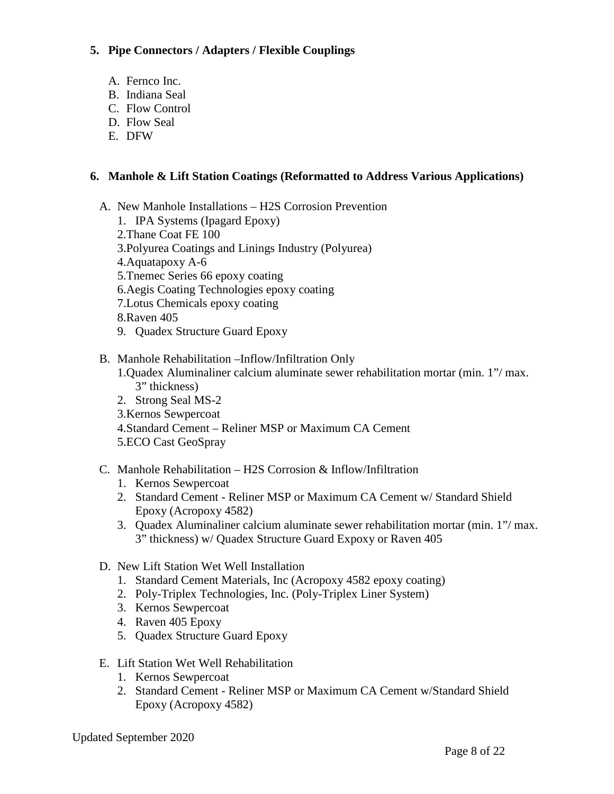## **5. Pipe Connectors / Adapters / Flexible Couplings**

- A. Fernco Inc.
- B. Indiana Seal
- C. Flow Control
- D. Flow Seal
- E. DFW

# **6. Manhole & Lift Station Coatings (Reformatted to Address Various Applications)**

- A. New Manhole Installations H2S Corrosion Prevention
	- 1. IPA Systems (Ipagard Epoxy)
	- 2.Thane Coat FE 100
	- 3.Polyurea Coatings and Linings Industry (Polyurea)
	- 4.Aquatapoxy A-6
	- 5.Tnemec Series 66 epoxy coating
	- 6.Aegis Coating Technologies epoxy coating
	- 7.Lotus Chemicals epoxy coating
	- 8.Raven 405
	- 9. Quadex Structure Guard Epoxy

## B. Manhole Rehabilitation –Inflow/Infiltration Only

- 1.Quadex Aluminaliner calcium aluminate sewer rehabilitation mortar (min. 1"/ max. 3" thickness)
- 2. Strong Seal MS-2
- 3.Kernos Sewpercoat
- 4.Standard Cement Reliner MSP or Maximum CA Cement
- 5.ECO Cast GeoSpray

# C. Manhole Rehabilitation – H2S Corrosion & Inflow/Infiltration

- 1. Kernos Sewpercoat
- 2. Standard Cement Reliner MSP or Maximum CA Cement w/ Standard Shield Epoxy (Acropoxy 4582)
- 3. Quadex Aluminaliner calcium aluminate sewer rehabilitation mortar (min. 1"/ max. 3" thickness) w/ Quadex Structure Guard Expoxy or Raven 405
- D. New Lift Station Wet Well Installation
	- 1. Standard Cement Materials, Inc (Acropoxy 4582 epoxy coating)
	- 2. Poly-Triplex Technologies, Inc. (Poly-Triplex Liner System)
	- 3. Kernos Sewpercoat
	- 4. Raven 405 Epoxy
	- 5. Quadex Structure Guard Epoxy
- E. Lift Station Wet Well Rehabilitation
	- 1. Kernos Sewpercoat
	- 2. Standard Cement Reliner MSP or Maximum CA Cement w/Standard Shield Epoxy (Acropoxy 4582)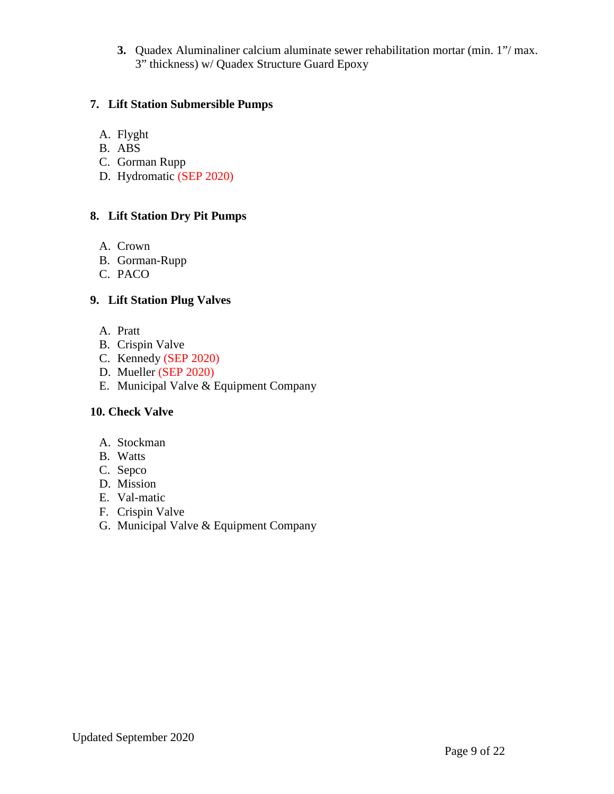**3.** Quadex Aluminaliner calcium aluminate sewer rehabilitation mortar (min. 1"/ max. 3" thickness) w/ Quadex Structure Guard Epoxy

## **7. Lift Station Submersible Pumps**

- A. Flyght
- B. ABS
- C. Gorman Rupp
- D. Hydromatic (SEP 2020)

#### **8. Lift Station Dry Pit Pumps**

- A. Crown
- B. Gorman-Rupp
- C. PACO

#### **9. Lift Station Plug Valves**

- A. Pratt
- B. Crispin Valve
- C. Kennedy (SEP 2020)
- D. Mueller (SEP 2020)
- E. Municipal Valve & Equipment Company

#### **10. Check Valve**

- A. Stockman
- B. Watts
- C. Sepco
- D. Mission
- E. Val-matic
- F. Crispin Valve
- G. Municipal Valve & Equipment Company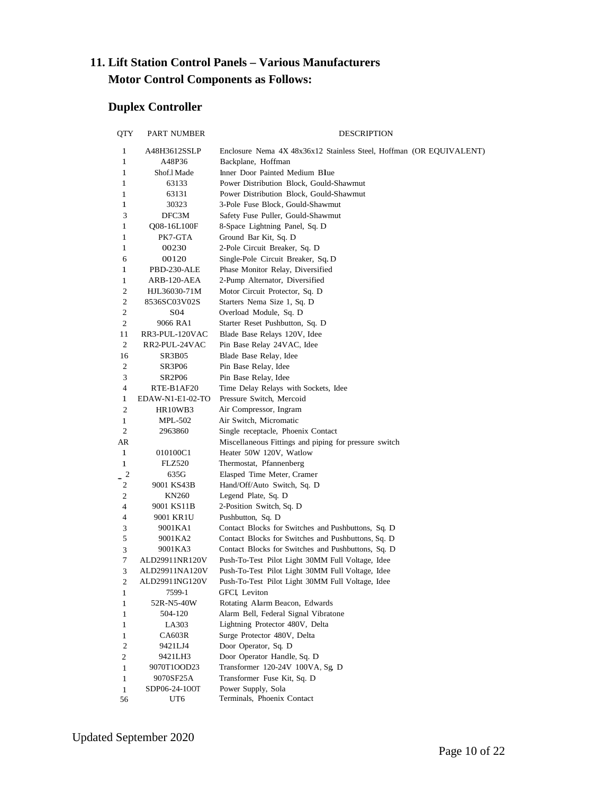# **11. Lift Station Control Panels – Various Manufacturers Motor Control Components as Follows:**

# **Duplex Controller**

| <b>QTY</b>                   | PART NUMBER            | DESCRIPTION                                                         |
|------------------------------|------------------------|---------------------------------------------------------------------|
| 1                            | A48H3612SSLP           | Enclosure Nema 4X 48x36x12 Stainless Steel, Hoffman (OR EQUIVALENT) |
| 1                            | A48P36                 | Backplane, Hoffman                                                  |
| 1                            | Shof.1 Made            | Inner Door Painted Medium Blue                                      |
| 1                            | 63133                  | Power Distribution Block, Gould-Shawmut                             |
| 1                            | 63131                  | Power Distribution Block, Gould-Shawmut                             |
| 1                            | 30323                  | 3-Pole Fuse Block, Gould-Shawmut                                    |
| 3                            | DFC3M                  | Safety Fuse Puller, Gould-Shawmut                                   |
| $\mathbf{1}$                 | Q08-16L100F            | 8-Space Lightning Panel, Sq. D                                      |
| 1                            | PK7-GTA                | Ground Bar Kit, Sq. D                                               |
| 1                            | 00230                  | 2-Pole Circuit Breaker, Sq. D                                       |
| 6                            | 00120                  | Single-Pole Circuit Breaker, Sq. D                                  |
| 1                            | PBD-230-ALE            | Phase Monitor Relay, Diversified                                    |
| 1                            | ARB-120-AEA            | 2-Pump Alternator, Diversified                                      |
| 2                            | HJL36030-71M           | Motor Circuit Protector, Sq. D                                      |
| 2                            | 8536SC03V02S           | Starters Nema Size 1, Sq. D                                         |
| 2                            | S04                    | Overload Module, Sq. D                                              |
| $\mathbf{2}$                 | 9066 RA1               | Starter Reset Pushbutton, Sq. D                                     |
| 11                           | RR3-PUL-120VAC         | Blade Base Relays 120V, Idee                                        |
| 2                            | RR2-PUL-24VAC          | Pin Base Relay 24VAC, Idee                                          |
| 16                           | <b>SR3B05</b>          | Blade Base Relay, Idee                                              |
| 2                            | SR3P06                 | Pin Base Relay, Idee                                                |
| 3                            | SR2P06                 | Pin Base Relay, Idee                                                |
| 4                            | RTE-B1AF20             | Time Delay Relays with Sockets, Idee                                |
| 1                            | EDAW-N1-E1-02-TO       | Pressure Switch, Mercoid                                            |
| 2                            | HR10WB3                | Air Compressor, Ingram                                              |
| 1                            | MPL-502                | Air Switch, Micromatic                                              |
| 2                            | 2963860                | Single receptacle, Phoenix Contact                                  |
| AR                           |                        | Miscellaneous Fittings and piping for pressure switch               |
| $\mathbf{1}$                 | 010100C1               | Heater 50W 120V, Watlow                                             |
| 1                            | FLZ520                 | Thermostat, Pfannenberg                                             |
| $\overline{\mathbf{c}}$      | 635G                   | Elasped Time Meter, Cramer                                          |
| 2                            | 9001 KS43B             | Hand/Off/Auto Switch, Sq. D                                         |
| 2                            | KN260                  | Legend Plate, Sq. D                                                 |
| $\overline{\mathcal{L}}$     | 9001 KS11B             | 2-Position Switch, Sq. D                                            |
| 4                            | 9001 KR1U              | Pushbutton, Sq. D                                                   |
| 3                            | 9001KA1                | Contact Blocks for Switches and Pushbuttons, Sq. D                  |
| 5                            | 9001KA2                | Contact Blocks for Switches and Pushbuttons, Sq. D                  |
| 3                            | 9001KA3                | Contact Blocks for Switches and Pushbuttons, Sq. D.                 |
| 7                            | ALD29911NR120V         | Push-To-Test Pilot Light 30MM Full Voltage, Idee                    |
| 3                            | ALD29911NA120V         | Push-To-Test Pilot Light 30MM Full Voltage, Idee                    |
| $\sqrt{2}$                   | ALD29911NG120V         | Push-To-Test Pilot Light 30MM Full Voltage, Idee                    |
| 1                            | 7599-1                 | GFCI, Leviton                                                       |
| $\mathbf{1}$                 | 52R-N5-40W             | Rotating Alarm Beacon, Edwards                                      |
| $\mathbf{1}$                 | 504-120                | Alarm Bell, Federal Signal Vibratone                                |
| 1                            | LA303                  | Lightning Protector 480V, Delta                                     |
| 1                            | <b>CA603R</b>          | Surge Protector 480V, Delta                                         |
| $\mathfrak{2}$               | 9421LJ4                | Door Operator, Sq. D                                                |
| $\overline{c}$               | 9421LH3<br>9070T1OOD23 | Door Operator Handle, Sq. D<br>Transformer 120-24V 100VA, Sg, D     |
| $\mathbf{1}$                 | 9070SF25A              | Transformer Fuse Kit, Sq. D                                         |
| $\mathbf{1}$<br>$\mathbf{1}$ | SDP06-24-100T          | Power Supply, Sola                                                  |
| 56                           | UT6                    | Terminals, Phoenix Contact                                          |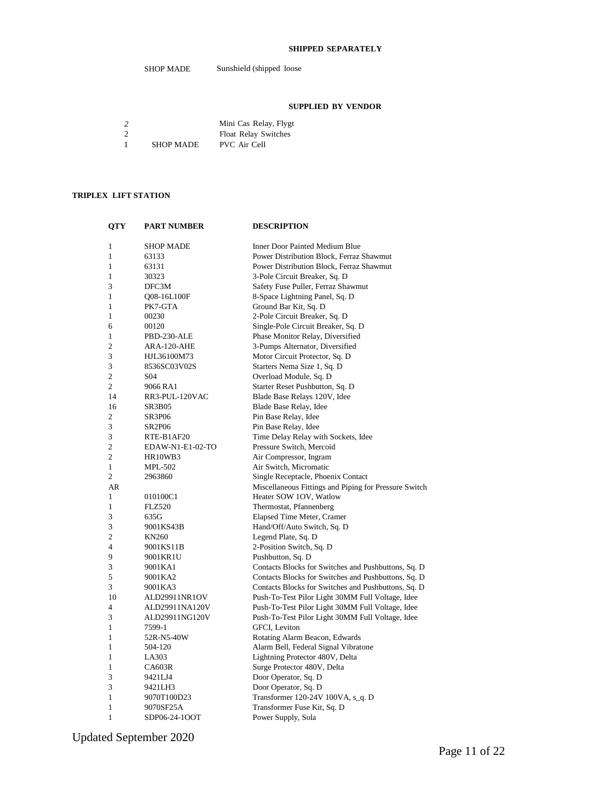#### **SHIPPED SEPARATELY**

#### **SUPPLIED BY VENDOR**

|               |                  | Mini Cas Relay, Flygt       |
|---------------|------------------|-----------------------------|
| $\mathcal{D}$ |                  | <b>Float Relay Switches</b> |
|               | <b>SHOP MADE</b> | PVC Air Cell                |

#### **TRIPLEX LIFT STATION**

| <b>QTY</b> | <b>PART NUMBER</b> | <b>DESCRIPTION</b>                                    |
|------------|--------------------|-------------------------------------------------------|
| 1          | <b>SHOP MADE</b>   | <b>Inner Door Painted Medium Blue</b>                 |
| 1          | 63133              | Power Distribution Block, Ferraz Shawmut              |
| 1          | 63131              | Power Distribution Block, Ferraz Shawmut              |
| 1          | 30323              | 3-Pole Circuit Breaker, Sq. D                         |
| 3          | DFC3M              | Safety Fuse Puller, Ferraz Shawmut                    |
| 1          | Q08-16L100F        | 8-Space Lightning Panel, Sq. D                        |
| 1          | PK7-GTA            | Ground Bar Kit, Sq. D                                 |
| 1          | 00230              | 2-Pole Circuit Breaker, Sq. D                         |
| 6          | 00120              | Single-Pole Circuit Breaker, Sq. D                    |
| 1          | PBD-230-ALE        | Phase Monitor Relay, Diversified                      |
| 2          | ARA-120-AHE        | 3-Pumps Alternator, Diversified                       |
| 3          | HJL36100M73        | Motor Circuit Protector, Sq. D                        |
| 3          | 8536SC03V02S       | Starters Nema Size 1, Sq. D                           |
| 2          | S <sub>04</sub>    | Overload Module, Sq. D                                |
| 2          | 9066 RA1           | Starter Reset Pushbutton, Sq. D                       |
| 14         | RR3-PUL-120VAC     | Blade Base Relays 120V, Idee                          |
| 16         | <b>SR3B05</b>      | Blade Base Relay, Idee                                |
| 2          | <b>SR3P06</b>      | Pin Base Relay, Idee                                  |
| 3          | <b>SR2P06</b>      | Pin Base Relay, Idee                                  |
| 3          | RTE-B1AF20         | Time Delay Relay with Sockets, Idee                   |
| 2          | EDAW-N1-E1-02-TO   | Pressure Switch, Mercoid                              |
| 2          | HR10WB3            | Air Compressor, Ingram                                |
| 1          | <b>MPL-502</b>     | Air Switch, Micromatic                                |
| 2          | 2963860            | Single Receptacle, Phoenix Contact                    |
| AR         |                    | Miscellaneous Fittings and Piping for Pressure Switch |
| 1          | 010100C1           | Heater SOW 1OV, Watlow                                |
| 1          | <b>FLZ520</b>      | Thermostat, Pfannenberg                               |
| 3          | 635G               | Elapsed Time Meter, Cramer                            |
| 3          | 9001KS43B          | Hand/Off/Auto Switch, Sq. D                           |
| 2          | <b>KN260</b>       | Legend Plate, Sq. D                                   |
| 4          | 9001KS11B          | 2-Position Switch, Sq. D                              |
| 9          | 9001KR1U           | Pushbutton, Sq. D                                     |
| 3          | 9001KA1            | Contacts Blocks for Switches and Pushbuttons, Sq. D   |
| 5          | 9001KA2            | Contacts Blocks for Switches and Pushbuttons, Sq. D   |
| 3          | 9001KA3            | Contacts Blocks for Switches and Pushbuttons, Sq. D   |
| 10         | ALD29911NR1OV      | Push-To-Test Pilor Light 30MM Full Voltage, Idee      |
| 4          | ALD29911NA120V     | Push-To-Test Pilor Light 30MM Full Voltage, Idee      |
| 3          | ALD29911NG120V     | Push-To-Test Pilor Light 30MM Full Voltage, Idee      |
| 1          | 7599-1             | GFCI, Leviton                                         |
| 1          | 52R-N5-40W         | Rotating Alarm Beacon, Edwards                        |
| 1          | 504-120            | Alarm Bell, Federal Signal Vibratone                  |
| 1          | LA303              | Lightning Protector 480V, Delta                       |
| 1          | <b>CA603R</b>      | Surge Protector 480V, Delta                           |
| 3          | 9421LJ4            | Door Operator, Sq. D                                  |
| 3          | 9421LH3            | Door Operator, Sq. D                                  |
| 1          | 9070T100D23        | Transformer 120-24V 100VA, s_q. D                     |
| 1          | 9070SF25A          | Transformer Fuse Kit, Sq. D                           |
| 1          | SDP06-24-1OOT      | Power Supply, Sola                                    |

Updated September 2020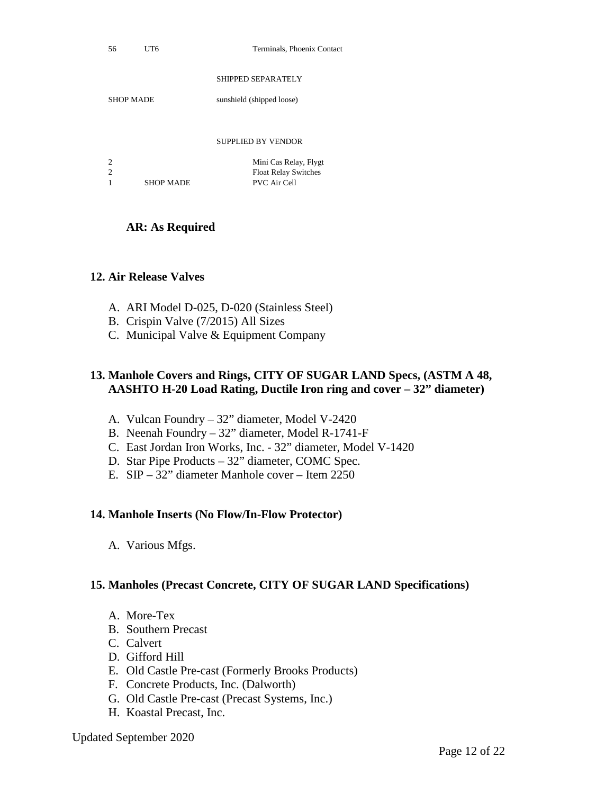| UT |
|----|
|    |

#### SHIPPED SEPARATELY

SHOP MADE sunshield (shipped loose)

#### SUPPLIED BY VENDOR

|                |                  | Mini Cas Relay, Flygt       |
|----------------|------------------|-----------------------------|
| $\overline{2}$ |                  | <b>Float Relay Switches</b> |
|                | <b>SHOP MADE</b> | PVC Air Cell                |

#### **AR: As Required**

#### **12. Air Release Valves**

- A. ARI Model D-025, D-020 (Stainless Steel)
- B. Crispin Valve (7/2015) All Sizes
- C. Municipal Valve & Equipment Company

#### **13. Manhole Covers and Rings, CITY OF SUGAR LAND Specs, (ASTM A 48, AASHTO H-20 Load Rating, Ductile Iron ring and cover – 32" diameter)**

- A. Vulcan Foundry 32" diameter, Model V-2420
- B. Neenah Foundry 32" diameter, Model R-1741-F
- C. East Jordan Iron Works, Inc. 32" diameter, Model V-1420
- D. Star Pipe Products 32" diameter, COMC Spec.
- E. SIP 32" diameter Manhole cover Item 2250

#### **14. Manhole Inserts (No Flow/In-Flow Protector)**

A. Various Mfgs.

#### **15. Manholes (Precast Concrete, CITY OF SUGAR LAND Specifications)**

- A. More-Tex
- B. Southern Precast
- C. Calvert
- D. Gifford Hill
- E. Old Castle Pre-cast (Formerly Brooks Products)
- F. Concrete Products, Inc. (Dalworth)
- G. Old Castle Pre-cast (Precast Systems, Inc.)
- H. Koastal Precast, Inc.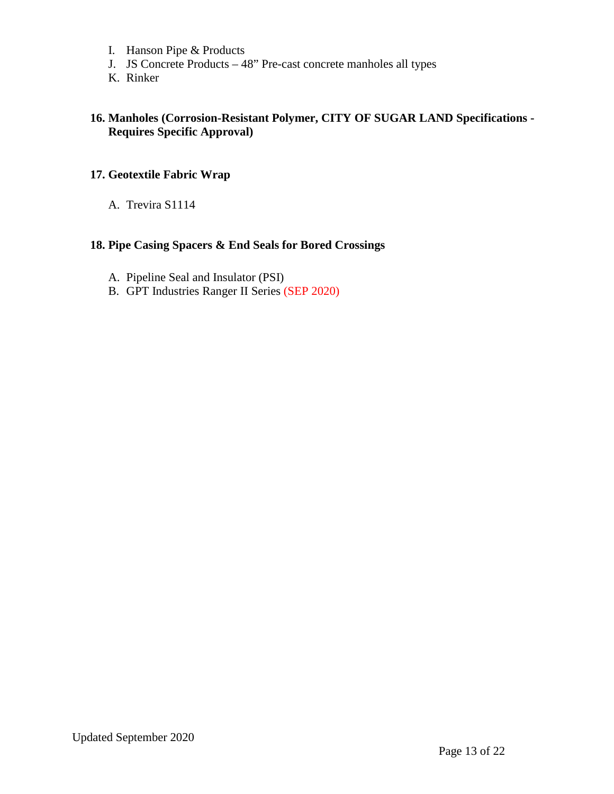- I. Hanson Pipe & Products
- J. JS Concrete Products 48" Pre-cast concrete manholes all types
- K. Rinker

#### **16. Manholes (Corrosion-Resistant Polymer, CITY OF SUGAR LAND Specifications - Requires Specific Approval)**

#### **17. Geotextile Fabric Wrap**

A. Trevira S1114

# **18. Pipe Casing Spacers & End Seals for Bored Crossings**

- A. Pipeline Seal and Insulator (PSI)
- B. GPT Industries Ranger II Series (SEP 2020)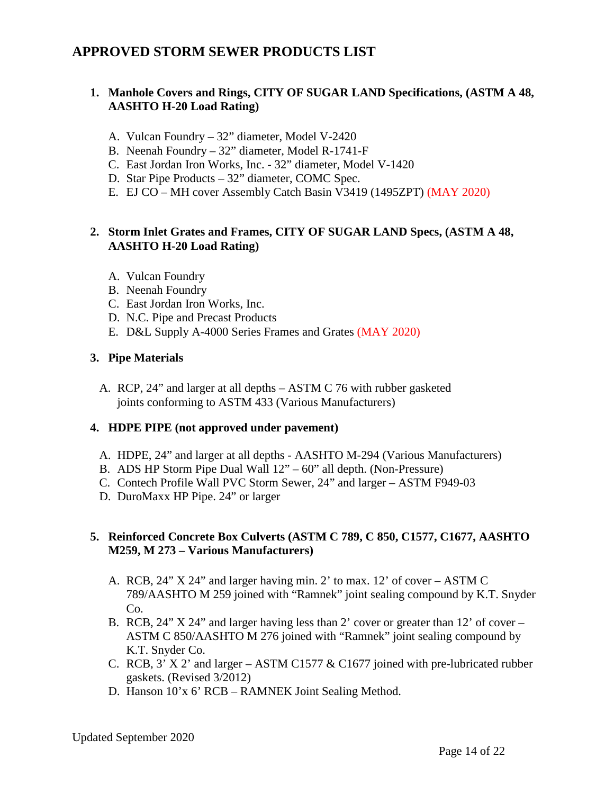# **APPROVED STORM SEWER PRODUCTS LIST**

## **1. Manhole Covers and Rings, CITY OF SUGAR LAND Specifications, (ASTM A 48, AASHTO H-20 Load Rating)**

- A. Vulcan Foundry 32" diameter, Model V-2420
- B. Neenah Foundry 32" diameter, Model R-1741-F
- C. East Jordan Iron Works, Inc. 32" diameter, Model V-1420
- D. Star Pipe Products 32" diameter, COMC Spec.
- E. EJ CO MH cover Assembly Catch Basin V3419 (1495ZPT) (MAY 2020)

#### **2. Storm Inlet Grates and Frames, CITY OF SUGAR LAND Specs, (ASTM A 48, AASHTO H-20 Load Rating)**

- A. Vulcan Foundry
- B. Neenah Foundry
- C. East Jordan Iron Works, Inc.
- D. N.C. Pipe and Precast Products
- E. D&L Supply A-4000 Series Frames and Grates (MAY 2020)

#### **3. Pipe Materials**

A. RCP, 24" and larger at all depths – ASTM C 76 with rubber gasketed joints conforming to ASTM 433 (Various Manufacturers)

#### **4. HDPE PIPE (not approved under pavement)**

- A. HDPE, 24" and larger at all depths AASHTO M-294 (Various Manufacturers)
- B. ADS HP Storm Pipe Dual Wall 12" 60" all depth. (Non-Pressure)
- C. Contech Profile Wall PVC Storm Sewer, 24" and larger ASTM F949-03
- D. DuroMaxx HP Pipe. 24" or larger

#### **5. Reinforced Concrete Box Culverts (ASTM C 789, C 850, C1577, C1677, AASHTO M259, M 273 – Various Manufacturers)**

- A. RCB, 24" X 24" and larger having min. 2' to max. 12' of cover ASTM C 789/AASHTO M 259 joined with "Ramnek" joint sealing compound by K.T. Snyder Co.
- B. RCB, 24" X 24" and larger having less than 2' cover or greater than 12' of cover ASTM C 850/AASHTO M 276 joined with "Ramnek" joint sealing compound by K.T. Snyder Co.
- C. RCB,  $3'$  X 2' and larger ASTM C1577 & C1677 joined with pre-lubricated rubber gaskets. (Revised 3/2012)
- D. Hanson 10'x 6' RCB RAMNEK Joint Sealing Method.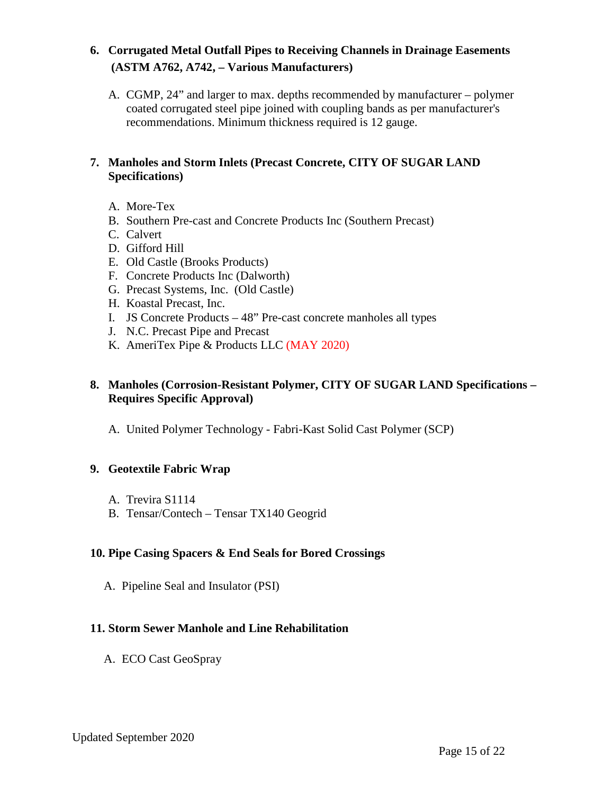# **6. Corrugated Metal Outfall Pipes to Receiving Channels in Drainage Easements (ASTM A762, A742, – Various Manufacturers)**

A. CGMP, 24" and larger to max. depths recommended by manufacturer – polymer coated corrugated steel pipe joined with coupling bands as per manufacturer's recommendations. Minimum thickness required is 12 gauge.

## **7. Manholes and Storm Inlets (Precast Concrete, CITY OF SUGAR LAND Specifications)**

- A. More-Tex
- B. Southern Pre-cast and Concrete Products Inc (Southern Precast)
- C. Calvert
- D. Gifford Hill
- E. Old Castle (Brooks Products)
- F. Concrete Products Inc (Dalworth)
- G. Precast Systems, Inc. (Old Castle)
- H. Koastal Precast, Inc.
- I. JS Concrete Products 48" Pre-cast concrete manholes all types
- J. N.C. Precast Pipe and Precast
- K. AmeriTex Pipe & Products LLC (MAY 2020)

# **8. Manholes (Corrosion-Resistant Polymer, CITY OF SUGAR LAND Specifications – Requires Specific Approval)**

A. United Polymer Technology - Fabri-Kast Solid Cast Polymer (SCP)

# **9. Geotextile Fabric Wrap**

- A. Trevira S1114
- B. Tensar/Contech Tensar TX140 Geogrid

#### **10. Pipe Casing Spacers & End Seals for Bored Crossings**

A. Pipeline Seal and Insulator (PSI)

# **11. Storm Sewer Manhole and Line Rehabilitation**

A. ECO Cast GeoSpray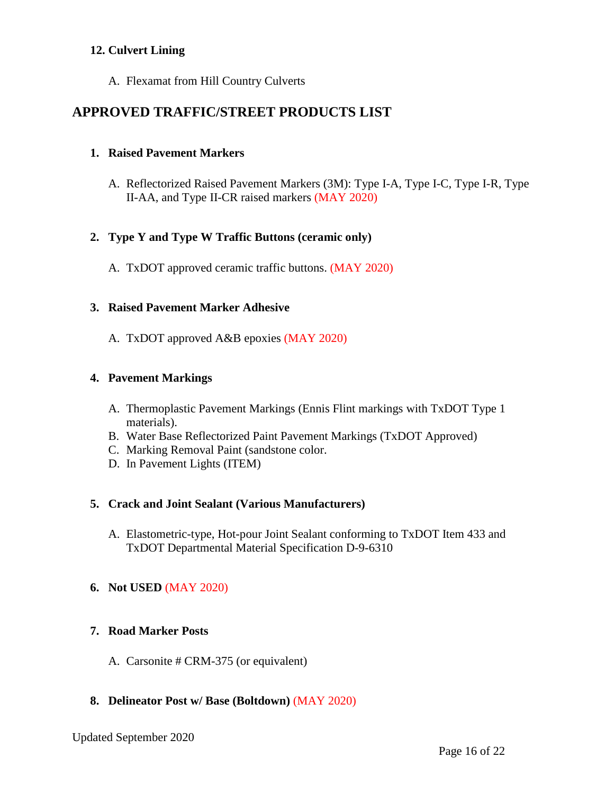## **12. Culvert Lining**

A. Flexamat from Hill Country Culverts

# **APPROVED TRAFFIC/STREET PRODUCTS LIST**

## **1. Raised Pavement Markers**

A. Reflectorized Raised Pavement Markers (3M): Type I-A, Type I-C, Type I-R, Type II-AA, and Type II-CR raised markers (MAY 2020)

## **2. Type Y and Type W Traffic Buttons (ceramic only)**

A. TxDOT approved ceramic traffic buttons. (MAY 2020)

#### **3. Raised Pavement Marker Adhesive**

A. TxDOT approved A&B epoxies (MAY 2020)

## **4. Pavement Markings**

- A. Thermoplastic Pavement Markings (Ennis Flint markings with TxDOT Type 1 materials).
- B. Water Base Reflectorized Paint Pavement Markings (TxDOT Approved)
- C. Marking Removal Paint (sandstone color.
- D. In Pavement Lights (ITEM)

#### **5. Crack and Joint Sealant (Various Manufacturers)**

A. Elastometric-type, Hot-pour Joint Sealant conforming to TxDOT Item 433 and TxDOT Departmental Material Specification D-9-6310

#### **6. Not USED** (MAY 2020)

#### **7. Road Marker Posts**

A. Carsonite # CRM-375 (or equivalent)

# **8. Delineator Post w/ Base (Boltdown)** (MAY 2020)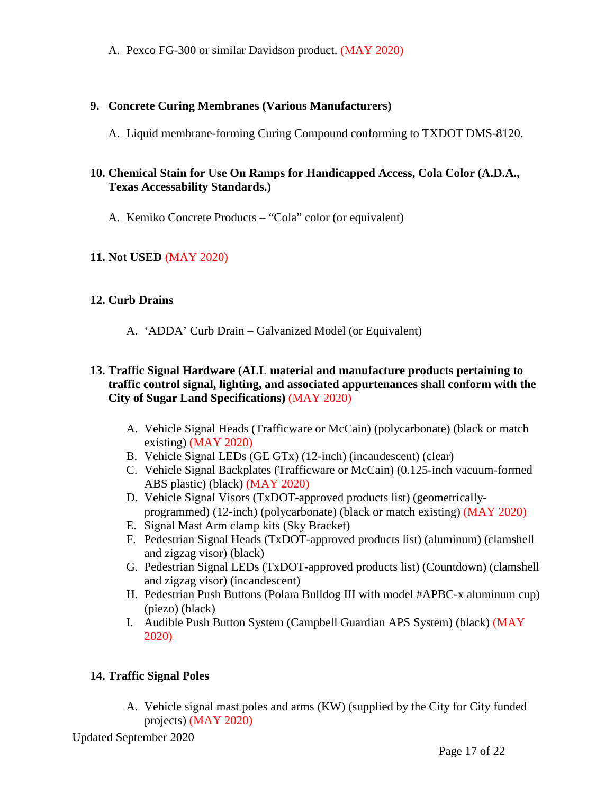A. Pexco FG-300 or similar Davidson product. (MAY 2020)

## **9. Concrete Curing Membranes (Various Manufacturers)**

A. Liquid membrane-forming Curing Compound conforming to TXDOT DMS-8120.

## **10. Chemical Stain for Use On Ramps for Handicapped Access, Cola Color (A.D.A., Texas Accessability Standards.)**

A. Kemiko Concrete Products – "Cola" color (or equivalent)

# **11. Not USED** (MAY 2020)

## **12. Curb Drains**

A. 'ADDA' Curb Drain – Galvanized Model (or Equivalent)

#### **13. Traffic Signal Hardware (ALL material and manufacture products pertaining to traffic control signal, lighting, and associated appurtenances shall conform with the City of Sugar Land Specifications)** (MAY 2020)

- A. Vehicle Signal Heads (Trafficware or McCain) (polycarbonate) (black or match existing) (MAY 2020)
- B. Vehicle Signal LEDs (GE GTx) (12-inch) (incandescent) (clear)
- C. Vehicle Signal Backplates (Trafficware or McCain) (0.125-inch vacuum-formed ABS plastic) (black) (MAY 2020)
- D. Vehicle Signal Visors (TxDOT-approved products list) (geometricallyprogrammed) (12-inch) (polycarbonate) (black or match existing) (MAY 2020)
- E. Signal Mast Arm clamp kits (Sky Bracket)
- F. Pedestrian Signal Heads (TxDOT-approved products list) (aluminum) (clamshell and zigzag visor) (black)
- G. Pedestrian Signal LEDs (TxDOT-approved products list) (Countdown) (clamshell and zigzag visor) (incandescent)
- H. Pedestrian Push Buttons (Polara Bulldog III with model #APBC-x aluminum cup) (piezo) (black)
- I. Audible Push Button System (Campbell Guardian APS System) (black) (MAY 2020)

# **14. Traffic Signal Poles**

A. Vehicle signal mast poles and arms (KW) (supplied by the City for City funded projects) (MAY 2020)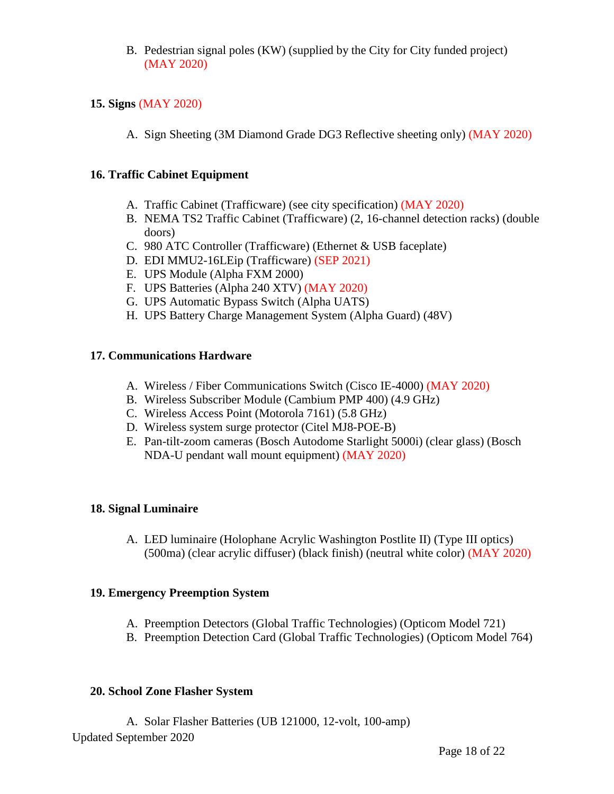B. Pedestrian signal poles (KW) (supplied by the City for City funded project) (MAY 2020)

## **15. Signs** (MAY 2020)

A. Sign Sheeting (3M Diamond Grade DG3 Reflective sheeting only) (MAY 2020)

#### **16. Traffic Cabinet Equipment**

- A. Traffic Cabinet (Trafficware) (see city specification) (MAY 2020)
- B. NEMA TS2 Traffic Cabinet (Trafficware) (2, 16-channel detection racks) (double doors)
- C. 980 ATC Controller (Trafficware) (Ethernet & USB faceplate)
- D. EDI MMU2-16LEip (Trafficware) (SEP 2021)
- E. UPS Module (Alpha FXM 2000)
- F. UPS Batteries (Alpha 240 XTV) (MAY 2020)
- G. UPS Automatic Bypass Switch (Alpha UATS)
- H. UPS Battery Charge Management System (Alpha Guard) (48V)

#### **17. Communications Hardware**

- A. Wireless / Fiber Communications Switch (Cisco IE-4000) (MAY 2020)
- B. Wireless Subscriber Module (Cambium PMP 400) (4.9 GHz)
- C. Wireless Access Point (Motorola 7161) (5.8 GHz)
- D. Wireless system surge protector (Citel MJ8-POE-B)
- E. Pan-tilt-zoom cameras (Bosch Autodome Starlight 5000i) (clear glass) (Bosch NDA-U pendant wall mount equipment) (MAY 2020)

#### **18. Signal Luminaire**

A. LED luminaire (Holophane Acrylic Washington Postlite II) (Type III optics) (500ma) (clear acrylic diffuser) (black finish) (neutral white color) (MAY 2020)

#### **19. Emergency Preemption System**

- A. Preemption Detectors (Global Traffic Technologies) (Opticom Model 721)
- B. Preemption Detection Card (Global Traffic Technologies) (Opticom Model 764)

#### **20. School Zone Flasher System**

Updated September 2020 A. Solar Flasher Batteries (UB 121000, 12-volt, 100-amp)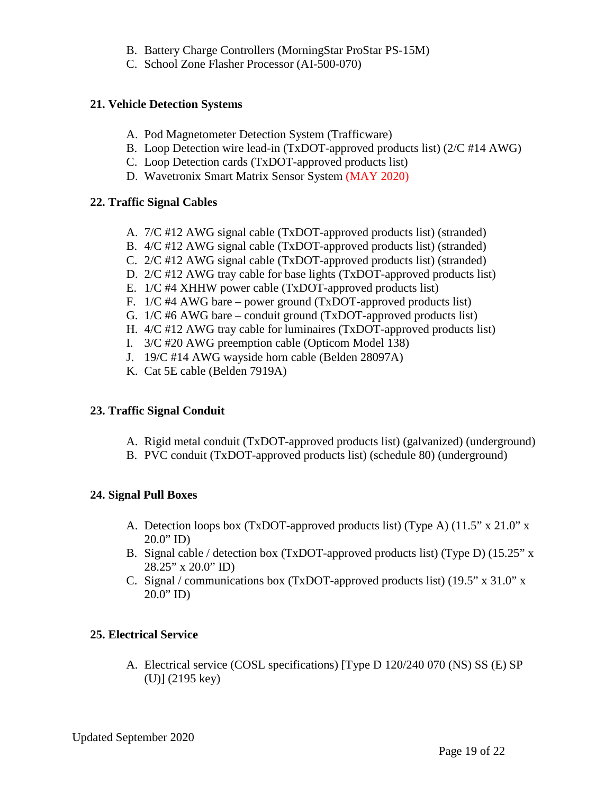- B. Battery Charge Controllers (MorningStar ProStar PS-15M)
- C. School Zone Flasher Processor (AI-500-070)

#### **21. Vehicle Detection Systems**

- A. Pod Magnetometer Detection System (Trafficware)
- B. Loop Detection wire lead-in (TxDOT-approved products list) (2/C #14 AWG)
- C. Loop Detection cards (TxDOT-approved products list)
- D. Wavetronix Smart Matrix Sensor System (MAY 2020)

#### **22. Traffic Signal Cables**

- A. 7/C #12 AWG signal cable (TxDOT-approved products list) (stranded)
- B. 4/C #12 AWG signal cable (TxDOT-approved products list) (stranded)
- C. 2/C #12 AWG signal cable (TxDOT-approved products list) (stranded)
- D. 2/C #12 AWG tray cable for base lights (TxDOT-approved products list)
- E. 1/C #4 XHHW power cable (TxDOT-approved products list)
- F. 1/C #4 AWG bare power ground (TxDOT-approved products list)
- G. 1/C #6 AWG bare conduit ground (TxDOT-approved products list)
- H. 4/C #12 AWG tray cable for luminaires (TxDOT-approved products list)
- I. 3/C #20 AWG preemption cable (Opticom Model 138)
- J. 19/C #14 AWG wayside horn cable (Belden 28097A)
- K. Cat 5E cable (Belden 7919A)

#### **23. Traffic Signal Conduit**

- A. Rigid metal conduit (TxDOT-approved products list) (galvanized) (underground)
- B. PVC conduit (TxDOT-approved products list) (schedule 80) (underground)

#### **24. Signal Pull Boxes**

- A. Detection loops box (TxDOT-approved products list) (Type A) (11.5" x 21.0" x  $20.0"$  ID)
- B. Signal cable / detection box (TxDOT-approved products list) (Type D) (15.25" x 28.25" x 20.0" ID)
- C. Signal / communications box (TxDOT-approved products list) (19.5" x 31.0" x  $20.0"$  ID)

#### **25. Electrical Service**

A. Electrical service (COSL specifications) [Type D 120/240 070 (NS) SS (E) SP (U)] (2195 key)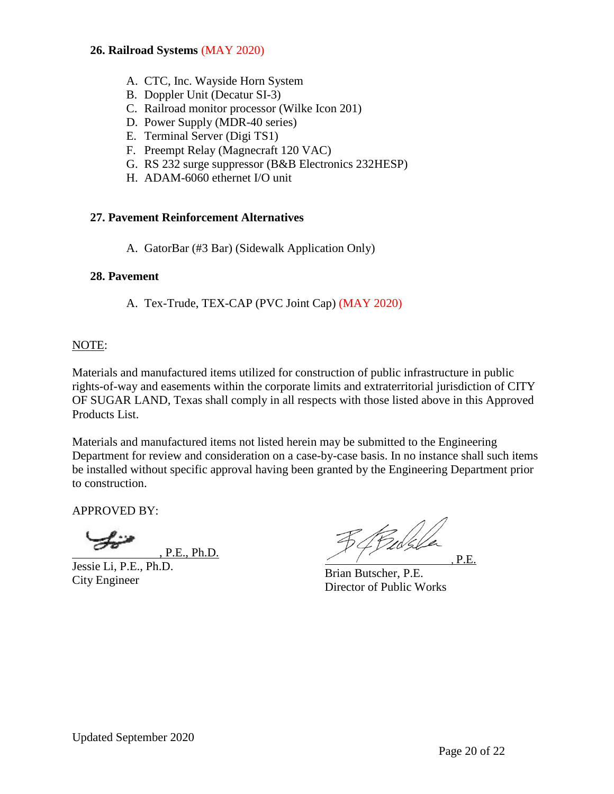#### **26. Railroad Systems** (MAY 2020)

- A. CTC, Inc. Wayside Horn System
- B. Doppler Unit (Decatur SI-3)
- C. Railroad monitor processor (Wilke Icon 201)
- D. Power Supply (MDR-40 series)
- E. Terminal Server (Digi TS1)
- F. Preempt Relay (Magnecraft 120 VAC)
- G. RS 232 surge suppressor (B&B Electronics 232HESP)
- H. ADAM-6060 ethernet I/O unit

#### **27. Pavement Reinforcement Alternatives**

A. GatorBar (#3 Bar) (Sidewalk Application Only)

#### **28. Pavement**

A. Tex-Trude, TEX-CAP (PVC Joint Cap) (MAY 2020)

#### NOTE:

Materials and manufactured items utilized for construction of public infrastructure in public rights-of-way and easements within the corporate limits and extraterritorial jurisdiction of CITY OF SUGAR LAND, Texas shall comply in all respects with those listed above in this Approved Products List.

Materials and manufactured items not listed herein may be submitted to the Engineering Department for review and consideration on a case-by-case basis. In no instance shall such items be installed without specific approval having been granted by the Engineering Department prior to construction.

APPROVED BY:

, P.E., Ph.D.

Jessie Li, P.E., Ph.D. City Engineer

34 Pulsla , P.E.

Brian Butscher, P.E. Director of Public Works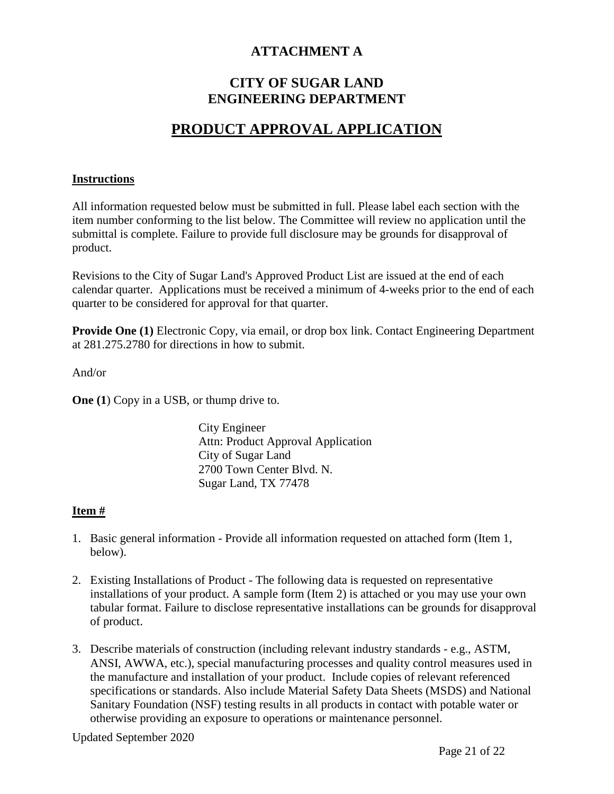# **ATTACHMENT A**

# **CITY OF SUGAR LAND ENGINEERING DEPARTMENT**

# **PRODUCT APPROVAL APPLICATION**

#### **Instructions**

All information requested below must be submitted in full. Please label each section with the item number conforming to the list below. The Committee will review no application until the submittal is complete. Failure to provide full disclosure may be grounds for disapproval of product.

Revisions to the City of Sugar Land's Approved Product List are issued at the end of each calendar quarter. Applications must be received a minimum of 4-weeks prior to the end of each quarter to be considered for approval for that quarter.

**Provide One (1)** Electronic Copy, via email, or drop box link. Contact Engineering Department at 281.275.2780 for directions in how to submit.

And/or

**One** (1) Copy in a USB, or thump drive to.

City Engineer Attn: Product Approval Application City of Sugar Land 2700 Town Center Blvd. N. Sugar Land, TX 77478

#### **Item #**

- 1. Basic general information Provide all information requested on attached form (Item 1, below).
- 2. Existing Installations of Product The following data is requested on representative installations of your product. A sample form (Item 2) is attached or you may use your own tabular format. Failure to disclose representative installations can be grounds for disapproval of product.
- 3. Describe materials of construction (including relevant industry standards e.g., ASTM, ANSI, AWWA, etc.), special manufacturing processes and quality control measures used in the manufacture and installation of your product. Include copies of relevant referenced specifications or standards. Also include Material Safety Data Sheets (MSDS) and National Sanitary Foundation (NSF) testing results in all products in contact with potable water or otherwise providing an exposure to operations or maintenance personnel.

Updated September 2020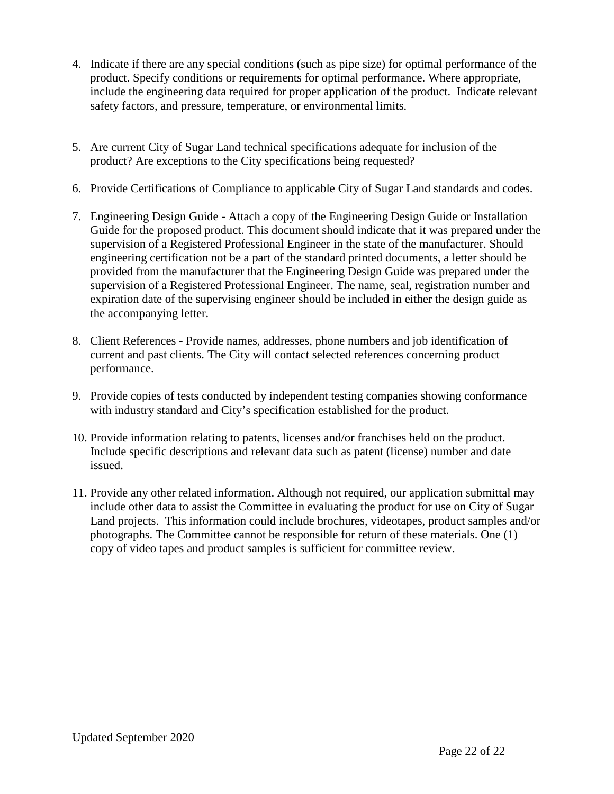- 4. Indicate if there are any special conditions (such as pipe size) for optimal performance of the product. Specify conditions or requirements for optimal performance. Where appropriate, include the engineering data required for proper application of the product. Indicate relevant safety factors, and pressure, temperature, or environmental limits.
- 5. Are current City of Sugar Land technical specifications adequate for inclusion of the product? Are exceptions to the City specifications being requested?
- 6. Provide Certifications of Compliance to applicable City of Sugar Land standards and codes.
- 7. Engineering Design Guide Attach a copy of the Engineering Design Guide or Installation Guide for the proposed product. This document should indicate that it was prepared under the supervision of a Registered Professional Engineer in the state of the manufacturer. Should engineering certification not be a part of the standard printed documents, a letter should be provided from the manufacturer that the Engineering Design Guide was prepared under the supervision of a Registered Professional Engineer. The name, seal, registration number and expiration date of the supervising engineer should be included in either the design guide as the accompanying letter.
- 8. Client References Provide names, addresses, phone numbers and job identification of current and past clients. The City will contact selected references concerning product performance.
- 9. Provide copies of tests conducted by independent testing companies showing conformance with industry standard and City's specification established for the product.
- 10. Provide information relating to patents, licenses and/or franchises held on the product. Include specific descriptions and relevant data such as patent (license) number and date issued.
- 11. Provide any other related information. Although not required, our application submittal may include other data to assist the Committee in evaluating the product for use on City of Sugar Land projects. This information could include brochures, videotapes, product samples and/or photographs. The Committee cannot be responsible for return of these materials. One (1) copy of video tapes and product samples is sufficient for committee review.